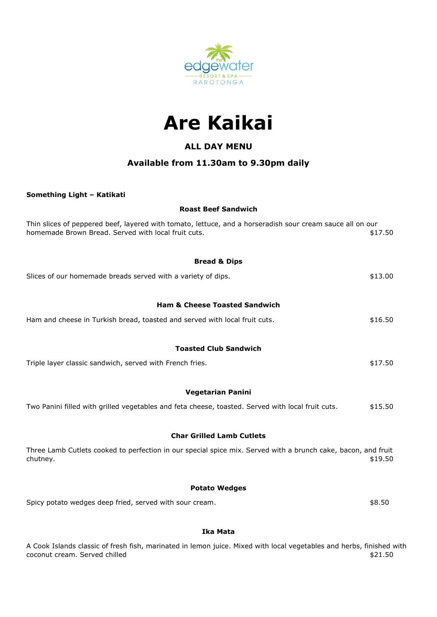



# **ALL DAY MENU**

# **Available from 11.30am to 9.30pm daily**

## **Something Light – Katikati**

## **Roast Beef Sandwich**

| Thin slices of peppered beef, layered with tomato, lettuce, and a horseradish sour cream sauce all on our<br>homemade Brown Bread. Served with local fruit cuts. | \$17.50 |  |  |
|------------------------------------------------------------------------------------------------------------------------------------------------------------------|---------|--|--|
| <b>Bread &amp; Dips</b>                                                                                                                                          |         |  |  |
| Slices of our homemade breads served with a variety of dips.                                                                                                     | \$13.00 |  |  |
| <b>Ham &amp; Cheese Toasted Sandwich</b>                                                                                                                         |         |  |  |
| Ham and cheese in Turkish bread, toasted and served with local fruit cuts.                                                                                       | \$16.50 |  |  |
| <b>Toasted Club Sandwich</b>                                                                                                                                     |         |  |  |
| Triple layer classic sandwich, served with French fries.                                                                                                         | \$17.50 |  |  |
| <b>Vegetarian Panini</b>                                                                                                                                         |         |  |  |
| Two Panini filled with grilled vegetables and feta cheese, toasted. Served with local fruit cuts.                                                                | \$15.50 |  |  |
| <b>Char Grilled Lamb Cutlets</b>                                                                                                                                 |         |  |  |
| Three Lamb Cutlets cooked to perfection in our special spice mix. Served with a brunch cake, bacon, and fruit<br>chutney.                                        | \$19.50 |  |  |
| <b>Potato Wedges</b>                                                                                                                                             |         |  |  |
| Spicy potato wedges deep fried, served with sour cream.                                                                                                          | \$8.50  |  |  |

## **Ika Mata**

A Cook Islands classic of fresh fish, marinated in lemon juice. Mixed with local vegetables and herbs, finished with coconut cream. Served chilled  $$21.50$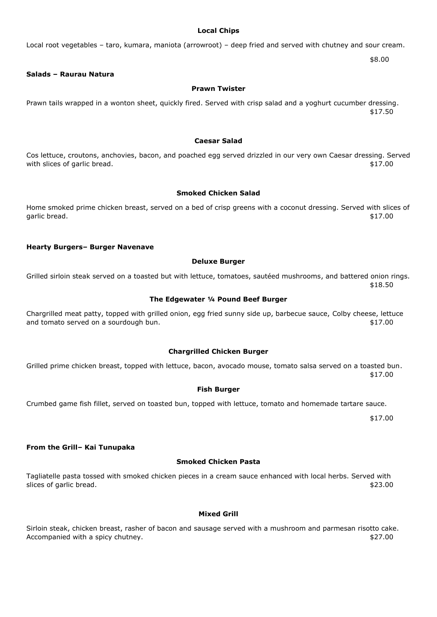#### **Local Chips**

### Local root vegetables – taro, kumara, maniota (arrowroot) – deep fried and served with chutney and sour cream.

\$8.00

#### **Salads – Raurau Natura**

#### **Prawn Twister**

Prawn tails wrapped in a wonton sheet, quickly fired. Served with crisp salad and a yoghurt cucumber dressing. \$17.50

#### **Caesar Salad**

Cos lettuce, croutons, anchovies, bacon, and poached egg served drizzled in our very own Caesar dressing. Served with slices of garlic bread.  $$17.00$ 

#### **Smoked Chicken Salad**

Home smoked prime chicken breast, served on a bed of crisp greens with a coconut dressing. Served with slices of garlic bread.  $$17.00$ 

#### **Hearty Burgers– Burger Navenave**

#### **Deluxe Burger**

Grilled sirloin steak served on a toasted but with lettuce, tomatoes, sautéed mushrooms, and battered onion rings. \$18.50

#### **The Edgewater ¼ Pound Beef Burger**

Chargrilled meat patty, topped with grilled onion, egg fried sunny side up, barbecue sauce, Colby cheese, lettuce and tomato served on a sourdough bun.  $$17.00$ 

#### **Chargrilled Chicken Burger**

Grilled prime chicken breast, topped with lettuce, bacon, avocado mouse, tomato salsa served on a toasted bun. \$17.00

#### **Fish Burger**

Crumbed game fish fillet, served on toasted bun, topped with lettuce, tomato and homemade tartare sauce.

\$17.00

#### **From the Grill– Kai Tunupaka**

#### **Smoked Chicken Pasta**

Tagliatelle pasta tossed with smoked chicken pieces in a cream sauce enhanced with local herbs. Served with slices of garlic bread.  $\overline{\phantom{2}}$  \$23.00

#### **Mixed Grill**

Sirloin steak, chicken breast, rasher of bacon and sausage served with a mushroom and parmesan risotto cake. Accompanied with a spicy chutney.  $$27.00$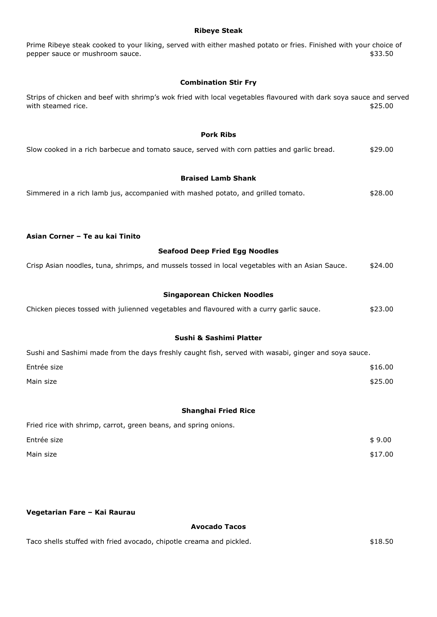#### **Ribeye Steak**

Prime Ribeye steak cooked to your liking, served with either mashed potato or fries. Finished with your choice of pepper sauce or mushroom sauce.  $$33.50$ 

## **Combination Stir Fry**

Strips of chicken and beef with shrimp's wok fried with local vegetables flavoured with dark soya sauce and served with steamed rice. \$25.00

## **Pork Ribs**

| Slow cooked in a rich barbecue and tomato sauce, served with corn patties and garlic bread. |  | \$29.00 |
|---------------------------------------------------------------------------------------------|--|---------|

## **Braised Lamb Shank**

|  |  | Simmered in a rich lamb jus, accompanied with mashed potato, and grilled tomato. | \$28.00 |
|--|--|----------------------------------------------------------------------------------|---------|
|--|--|----------------------------------------------------------------------------------|---------|

## **Asian Corner – Te au kai Tinito**

#### **Seafood Deep Fried Egg Noodles**

| Crisp Asian noodles, tuna, shrimps, and mussels tossed in local vegetables with an Asian Sauce. | \$24.00 |
|-------------------------------------------------------------------------------------------------|---------|
|-------------------------------------------------------------------------------------------------|---------|

## **Singaporean Chicken Noodles**

| Chicken pieces tossed with julienned vegetables and flavoured with a curry garlic sauce. |  | \$23.00 |
|------------------------------------------------------------------------------------------|--|---------|
|                                                                                          |  |         |

## **Sushi & Sashimi Platter**

| Sushi and Sashimi made from the days freshly caught fish, served with wasabi, ginger and soya sauce. |         |
|------------------------------------------------------------------------------------------------------|---------|
| Entrée size                                                                                          | \$16.00 |
| Main size                                                                                            | \$25.00 |

#### **Shanghai Fried Rice**

| Fried rice with shrimp, carrot, green beans, and spring onions. |         |
|-----------------------------------------------------------------|---------|
| Entrée size                                                     | \$9.00  |
| Main size                                                       | \$17.00 |

## **Vegetarian Fare – Kai Raurau**

#### **Avocado Tacos**

Taco shells stuffed with fried avocado, chipotle creama and pickled.  $$18.50$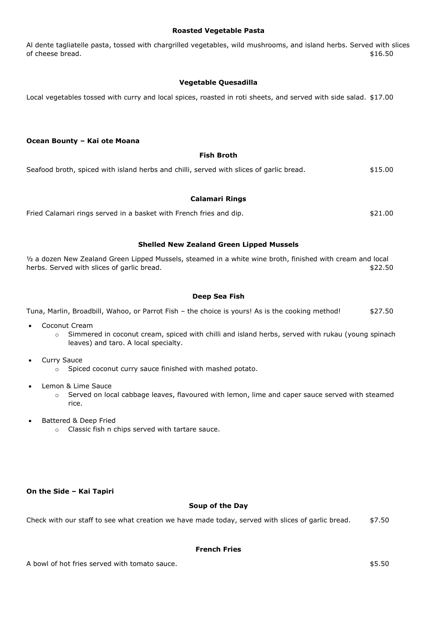#### **Roasted Vegetable Pasta**

Al dente tagliatelle pasta, tossed with chargrilled vegetables, wild mushrooms, and island herbs. Served with slices of cheese bread.  $$16.50$ 

## **Vegetable Quesadilla**

Local vegetables tossed with curry and local spices, roasted in roti sheets, and served with side salad. \$17.00

## **Ocean Bounty – Kai ote Moana**

### **Fish Broth**

| Seafood broth, spiced with island herbs and chilli, served with slices of garlic bread. | \$15.00 |
|-----------------------------------------------------------------------------------------|---------|
|-----------------------------------------------------------------------------------------|---------|

## **Calamari Rings**

Fried Calamari rings served in a basket with French fries and dip.  $$21.00$ 

## **Shelled New Zealand Green Lipped Mussels**

½ a dozen New Zealand Green Lipped Mussels, steamed in a white wine broth, finished with cream and local herbs. Served with slices of garlic bread.  $$22.50$ 

## **Deep Sea Fish**

Tuna, Marlin, Broadbill, Wahoo, or Parrot Fish – the choice is yours! As is the cooking method!  $$27.50$ 

- Coconut Cream
	- $\circ$  Simmered in coconut cream, spiced with chilli and island herbs, served with rukau (young spinach leaves) and taro. A local specialty.
- Curry Sauce
	- o Spiced coconut curry sauce finished with mashed potato.
- Lemon & Lime Sauce
	- o Served on local cabbage leaves, flavoured with lemon, lime and caper sauce served with steamed rice.
- Battered & Deep Fried
	- o Classic fish n chips served with tartare sauce.

## **On the Side – Kai Tapiri**

## **Soup of the Day**

Check with our staff to see what creation we have made today, served with slices of garlic bread.  $$7.50$ 

#### **French Fries**

A bowl of hot fries served with tomato sauce.  $$5.50$